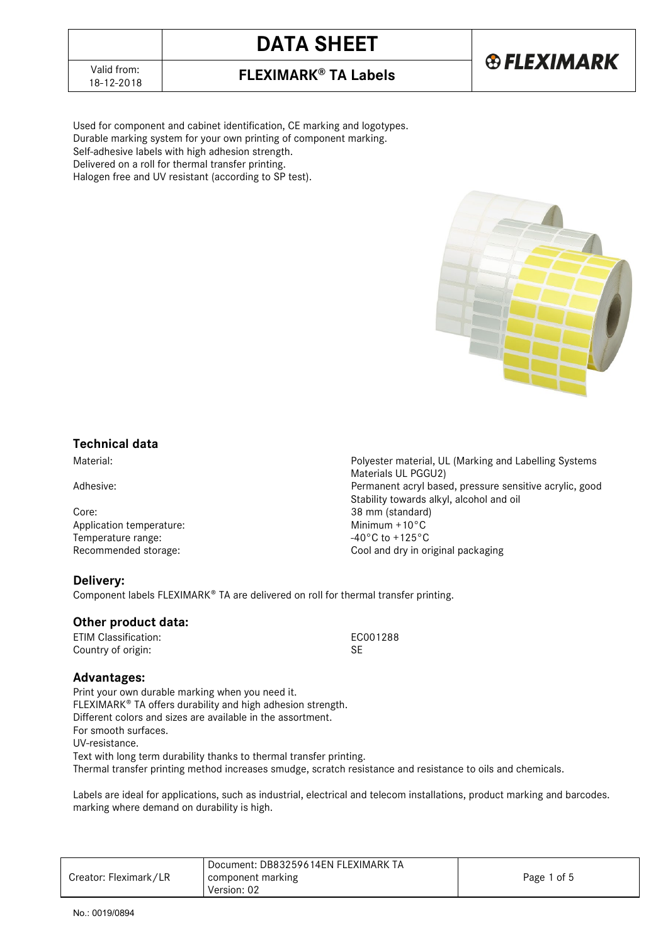# **DATA SHEET**



18-12-2018 **FLEXIMARK® TA Labels**

Used for component and cabinet identification, CE marking and logotypes. Durable marking system for your own printing of component marking. Self-adhesive labels with high adhesion strength. Delivered on a roll for thermal transfer printing. Halogen free and UV resistant (according to SP test).



### **Technical data**

Material: Polyester material, UL (Marking and Labelling Systems

Adhesive: example acryl based, pressure sensitive acrylic, good and acrylic, good and acrylic, good

Core: 38 mm (standard)<br>Application temperature: 40 mm (standard) 40 mm (standard) Application temperature:<br>
Temperature range:<br>  $-40^{\circ}$ C to +125°C Temperature range: Recommended storage: Cool and dry in original packaging

**Delivery:**

Component labels FLEXIMARK® TA are delivered on roll for thermal transfer printing.

### **Other product data:**

ETIM Classification: EC001288 Country of origin: SE

Materials UL PGGU2)

Stability towards alkyl, alcohol and oil

### **Advantages:**

Print your own durable marking when you need it. FLEXIMARK<sup>®</sup> TA offers durability and high adhesion strength. Different colors and sizes are available in the assortment. For smooth surfaces. UV-resistance. Text with long term durability thanks to thermal transfer printing. Thermal transfer printing method increases smudge, scratch resistance and resistance to oils and chemicals.

Labels are ideal for applications, such as industrial, electrical and telecom installations, product marking and barcodes. marking where demand on durability is high.

|                       | Document: DB83259614EN FLEXIMARK TA |             |
|-----------------------|-------------------------------------|-------------|
| Creator: Fleximark/LR | component marking                   | Page 1 of 5 |
|                       | Version: 02                         |             |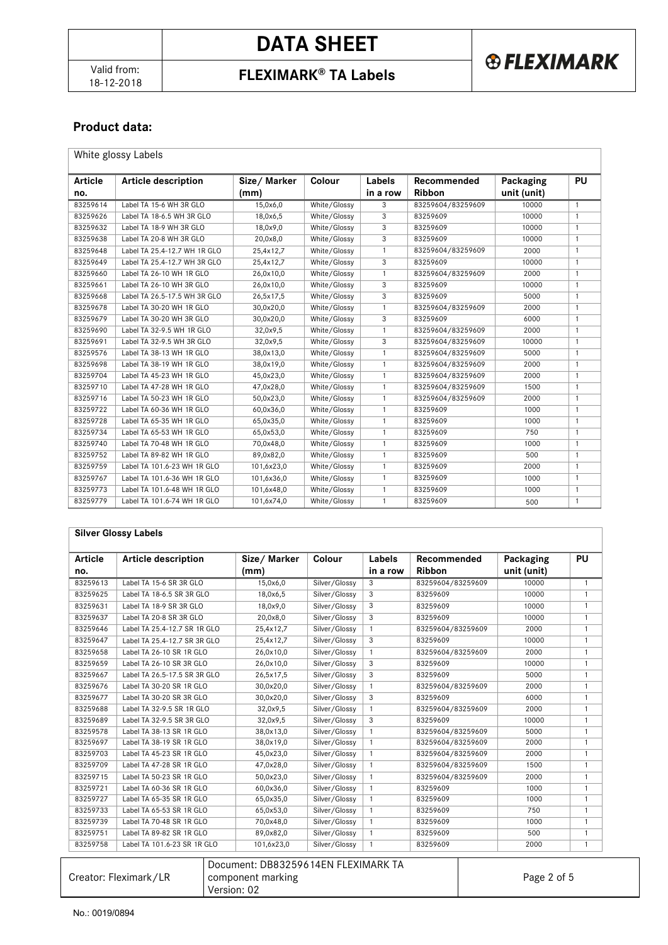18-12-2018 **FLEXIMARK® TA Labels**

## **Product data:**

White glossy Labels

| <b>Article</b> | <b>Article description</b>   | Size/Marker | Colour       | Labels       | Recommended       | Packaging   | PU             |
|----------------|------------------------------|-------------|--------------|--------------|-------------------|-------------|----------------|
| no.            |                              | (mm)        |              | in a row     | <b>Ribbon</b>     | unit (unit) |                |
| 83259614       | Label TA 15-6 WH 3R GLO      | 15,0x6,0    | White/Glossy | 3            | 83259604/83259609 | 10000       | $\mathbf{1}$   |
| 83259626       | Label TA 18-6.5 WH 3R GLO    | 18,0x6,5    | White/Glossy | 3            | 83259609          | 10000       | $\overline{1}$ |
| 83259632       | Label TA 18-9 WH 3R GLO      | 18,0x9,0    | White/Glossy | 3            | 83259609          | 10000       | $\mathbf{1}$   |
| 83259638       | Label TA 20-8 WH 3R GLO      | 20,0x8,0    | White/Glossy | 3            | 83259609          | 10000       | $\mathbf{1}$   |
| 83259648       | Label TA 25.4-12.7 WH 1R GLO | 25,4x12,7   | White/Glossy | $\mathbf{1}$ | 83259604/83259609 | 2000        | $\mathbf{1}$   |
| 83259649       | Label TA 25.4-12.7 WH 3R GLO | 25,4x12,7   | White/Glossy | 3            | 83259609          | 10000       | $\mathbf{1}$   |
| 83259660       | Label TA 26-10 WH 1R GLO     | 26,0x10,0   | White/Glossy | $\mathbf{1}$ | 83259604/83259609 | 2000        | $\mathbf{1}$   |
| 83259661       | Label TA 26-10 WH 3R GLO     | 26,0x10,0   | White/Glossy | 3            | 83259609          | 10000       | 1              |
| 83259668       | Label TA 26.5-17.5 WH 3R GLO | 26,5x17,5   | White/Glossy | 3            | 83259609          | 5000        | $\mathbf{1}$   |
| 83259678       | Label TA 30-20 WH 1R GLO     | 30.0x20.0   | White/Glossv | $\mathbf{1}$ | 83259604/83259609 | 2000        | $\mathbf{1}$   |
| 83259679       | Label TA 30-20 WH 3R GLO     | 30,0x20,0   | White/Glossy | 3            | 83259609          | 6000        | 1              |
| 83259690       | Label TA 32-9.5 WH 1R GLO    | 32,0x9.5    | White/Glossy | $\mathbf{1}$ | 83259604/83259609 | 2000        | $\mathbf{1}$   |
| 83259691       | Label TA 32-9.5 WH 3R GLO    | 32,0x9,5    | White/Glossy | 3            | 83259604/83259609 | 10000       | $\mathbf{1}$   |
| 83259576       | Label TA 38-13 WH 1R GLO     | 38,0x13,0   | White/Glossy | $\mathbf{1}$ | 83259604/83259609 | 5000        | $\mathbf{1}$   |
| 83259698       | Label TA 38-19 WH 1R GLO     | 38,0x19,0   | White/Glossy | $\mathbf{1}$ | 83259604/83259609 | 2000        | $\mathbf{1}$   |
| 83259704       | Label TA 45-23 WH 1R GLO     | 45,0x23,0   | White/Glossy | $\mathbf{1}$ | 83259604/83259609 | 2000        | $\mathbf{1}$   |
| 83259710       | Label TA 47-28 WH 1R GLO     | 47,0x28,0   | White/Glossy | $\mathbf{1}$ | 83259604/83259609 | 1500        | 1              |
| 83259716       | Label TA 50-23 WH 1R GLO     | 50,0x23,0   | White/Glossy | $\mathbf{1}$ | 83259604/83259609 | 2000        | $\mathbf{1}$   |
| 83259722       | Label TA 60-36 WH 1R GLO     | 60,0x36,0   | White/Glossy | $\mathbf{1}$ | 83259609          | 1000        | $\mathbf{1}$   |
| 83259728       | Label TA 65-35 WH 1R GLO     | 65,0x35,0   | White/Glossy | $\mathbf{1}$ | 83259609          | 1000        | $\mathbf{1}$   |
| 83259734       | Label TA 65-53 WH 1R GLO     | 65,0x53,0   | White/Glossy | $\mathbf{1}$ | 83259609          | 750         | $\mathbf{1}$   |
| 83259740       | Label TA 70-48 WH 1R GLO     | 70,0x48,0   | White/Glossy | 1            | 83259609          | 1000        | $\mathbf{1}$   |
| 83259752       | Label TA 89-82 WH 1R GLO     | 89,0x82,0   | White/Glossy | $\mathbf{1}$ | 83259609          | 500         | $\mathbf{1}$   |
| 83259759       | Label TA 101.6-23 WH 1R GLO  | 101,6x23,0  | White/Glossy | $\mathbf{1}$ | 83259609          | 2000        | $\mathbf{1}$   |
| 83259767       | Label TA 101.6-36 WH 1R GLO  | 101,6x36,0  | White/Glossy | $\mathbf{1}$ | 83259609          | 1000        | $\mathbf{1}$   |
| 83259773       | Label TA 101.6-48 WH 1R GLO  | 101.6x48.0  | White/Glossy | $\mathbf{1}$ | 83259609          | 1000        | $\mathbf{1}$   |
| 83259779       | Label TA 101.6-74 WH 1R GLO  | 101,6x74,0  | White/Glossy | $\mathbf{1}$ | 83259609          | 500         | $\mathbf{1}$   |

#### **Silver Glossy Labels**

| Article  | <b>Article description</b>   | Size/Marker | Colour        | Labels       | Recommended       | Packaging   | PU             |
|----------|------------------------------|-------------|---------------|--------------|-------------------|-------------|----------------|
| no.      |                              | (mm)        |               | in a row     | <b>Ribbon</b>     | unit (unit) |                |
| 83259613 | Label TA 15-6 SR 3R GLO      | 15,0x6,0    | Silver/Glossy | 3            | 83259604/83259609 | 10000       | $\mathbf{1}$   |
| 83259625 | Label TA 18-6.5 SR 3R GLO    | 18,0x6,5    | Silver/Glossy | 3            | 83259609          | 10000       | $\mathbf{1}$   |
| 83259631 | Label TA 18-9 SR 3R GLO      | 18,0x9,0    | Silver/Glossy | 3            | 83259609          | 10000       | $\mathbf{1}$   |
| 83259637 | Label TA 20-8 SR 3R GLO      | 20,0x8,0    | Silver/Glossy | 3            | 83259609          | 10000       | $\mathbf{1}$   |
| 83259646 | Label TA 25.4-12.7 SR 1R GLO | 25,4x12,7   | Silver/Glossy | 1            | 83259604/83259609 | 2000        | 1              |
| 83259647 | Label TA 25.4-12.7 SR 3R GLO | 25,4x12,7   | Silver/Glossy | 3            | 83259609          | 10000       | $\mathbf{1}$   |
| 83259658 | Label TA 26-10 SR 1R GLO     | 26,0x10,0   | Silver/Glossy | $\mathbf{1}$ | 83259604/83259609 | 2000        | $\mathbf{1}$   |
| 83259659 | Label TA 26-10 SR 3R GLO     | 26,0x10,0   | Silver/Glossy | 3            | 83259609          | 10000       | $\mathbf{1}$   |
| 83259667 | Label TA 26.5-17.5 SR 3R GLO | 26,5x17,5   | Silver/Glossy | 3            | 83259609          | 5000        | $\mathbf{1}$   |
| 83259676 | Label TA 30-20 SR 1R GLO     | 30,0x20,0   | Silver/Glossy | 1            | 83259604/83259609 | 2000        | $\mathbf{1}$   |
| 83259677 | Label TA 30-20 SR 3R GLO     | 30,0x20,0   | Silver/Glossy | 3            | 83259609          | 6000        | $\mathbf{1}$   |
| 83259688 | Label TA 32-9.5 SR 1R GLO    | 32,0x9,5    | Silver/Glossy | 1            | 83259604/83259609 | 2000        | $\mathbf{1}$   |
| 83259689 | Label TA 32-9.5 SR 3R GLO    | 32,0x9,5    | Silver/Glossv | 3            | 83259609          | 10000       | 1              |
| 83259578 | Label TA 38-13 SR 1R GLO     | 38,0x13,0   | Silver/Glossy | 1            | 83259604/83259609 | 5000        | $\mathbf{1}$   |
| 83259697 | Label TA 38-19 SR 1R GLO     | 38,0x19,0   | Silver/Glossy | 1            | 83259604/83259609 | 2000        | $\mathbf{1}$   |
| 83259703 | Label TA 45-23 SR 1R GLO     | 45,0x23,0   | Silver/Glossy | $\mathbf{1}$ | 83259604/83259609 | 2000        | 1              |
| 83259709 | Label TA 47-28 SR 1R GLO     | 47,0x28,0   | Silver/Glossy | $\mathbf{1}$ | 83259604/83259609 | 1500        | $\mathbf{1}$   |
| 83259715 | Label TA 50-23 SR 1R GLO     | 50,0x23,0   | Silver/Glossy | $\mathbf{1}$ | 83259604/83259609 | 2000        | $\overline{1}$ |
| 83259721 | Label TA 60-36 SR 1R GLO     | 60,0x36,0   | Silver/Glossy | $\mathbf{1}$ | 83259609          | 1000        | $\mathbf{1}$   |
| 83259727 | Label TA 65-35 SR 1R GLO     | 65,0x35,0   | Silver/Glossy | 1            | 83259609          | 1000        | $\mathbf{1}$   |
| 83259733 | Label TA 65-53 SR 1R GLO     | 65,0x53,0   | Silver/Glossy | $\mathbf{1}$ | 83259609          | 750         | $\mathbf{1}$   |
| 83259739 | Label TA 70-48 SR 1R GLO     | 70,0x48,0   | Silver/Glossy | 1            | 83259609          | 1000        | $\mathbf{1}$   |
| 83259751 | Label TA 89-82 SR 1R GLO     | 89,0x82,0   | Silver/Glossy | 1            | 83259609          | 500         | $\mathbf{1}$   |
| 83259758 | Label TA 101.6-23 SR 1R GLO  | 101,6x23,0  | Silver/Glossy | 1            | 83259609          | 2000        | 1              |

| Creator: Fleximark/LR | Document: DB83259614EN FLEXIMARK TA<br>component marking<br>Version: 02 | Page 2 of 5 |
|-----------------------|-------------------------------------------------------------------------|-------------|
|                       |                                                                         |             |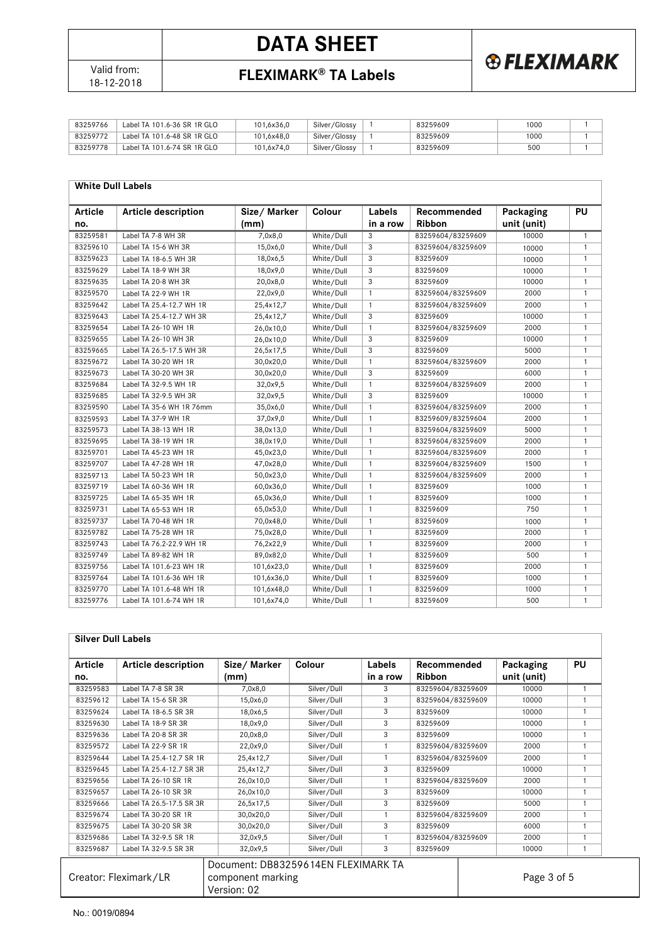

# **DATA SHEET**





| 83259766 | Label TA 101.6-36 SR 1R GLO | 101.6x36.0 | Silver/Glossy | 83259609 | 1000 |  |
|----------|-----------------------------|------------|---------------|----------|------|--|
| 83259772 | Label TA 101.6-48 SR 1R GLO | 101.6x48.0 | Silver/Glossy | 83259609 | 1000 |  |
| 83259778 | Label TA 101.6-74 SR 1R GLO | 101,6x74,0 | Silver/Glossy | 83259609 | 500  |  |

#### **White Dull Labels**

| <b>Article</b> | <b>Article description</b> | Size/Marker | Colour     | Labels         | Recommended       | Packaging   | PU           |
|----------------|----------------------------|-------------|------------|----------------|-------------------|-------------|--------------|
| no.            |                            | (mm)        |            | in a row       | <b>Ribbon</b>     | unit (unit) |              |
| 83259581       | Label TA 7-8 WH 3R         | 7,0x8,0     | White/Dull | 3              | 83259604/83259609 | 10000       | $\mathbf{1}$ |
| 83259610       | Label TA 15-6 WH 3R        | 15,0x6,0    | White/Dull | 3              | 83259604/83259609 | 10000       | $\mathbf{1}$ |
| 83259623       | Label TA 18-6.5 WH 3R      | 18,0x6,5    | White/Dull | 3              | 83259609          | 10000       | $\mathbf{1}$ |
| 83259629       | Label TA 18-9 WH 3R        | 18,0x9,0    | White/Dull | $\overline{3}$ | 83259609          | 10000       | $\mathbf{1}$ |
| 83259635       | Label TA 20-8 WH 3R        | 20,0x8,0    | White/Dull | 3              | 83259609          | 10000       | $\mathbf{1}$ |
| 83259570       | Label TA 22-9 WH 1R        | 22,0x9,0    | White/Dull | $\overline{1}$ | 83259604/83259609 | 2000        | $\mathbf{1}$ |
| 83259642       | Label TA 25.4-12.7 WH 1R   | 25,4x12,7   | White/Dull | $\mathbf{1}$   | 83259604/83259609 | 2000        | $\mathbf{1}$ |
| 83259643       | Label TA 25.4-12.7 WH 3R   | 25,4x12,7   | White/Dull | 3              | 83259609          | 10000       | $\mathbf{1}$ |
| 83259654       | Label TA 26-10 WH 1R       | 26.0x10.0   | White/Dull | $\overline{1}$ | 83259604/83259609 | 2000        | $\mathbf{1}$ |
| 83259655       | Label TA 26-10 WH 3R       | 26.0x10.0   | White/Dull | 3              | 83259609          | 10000       | $\mathbf{1}$ |
| 83259665       | Label TA 26.5-17.5 WH 3R   | 26,5x17,5   | White/Dull | 3              | 83259609          | 5000        | $\mathbf{1}$ |
| 83259672       | Label TA 30-20 WH 1R       | 30,0x20,0   | White/Dull | $\overline{1}$ | 83259604/83259609 | 2000        | $\mathbf{1}$ |
| 83259673       | Label TA 30-20 WH 3R       | 30,0x20,0   | White/Dull | 3              | 83259609          | 6000        | $\mathbf{1}$ |
| 83259684       | Label TA 32-9.5 WH 1R      | 32,0x9,5    | White/Dull | $\mathbf{1}$   | 83259604/83259609 | 2000        | $\mathbf{1}$ |
| 83259685       | Label TA 32-9.5 WH 3R      | 32,0x9,5    | White/Dull | 3              | 83259609          | 10000       | $\mathbf{1}$ |
| 83259590       | Label TA 35-6 WH 1R 76mm   | 35,0x6,0    | White/Dull | $\mathbf{1}$   | 83259604/83259609 | 2000        | $\mathbf{1}$ |
| 83259593       | Label TA 37-9 WH 1R        | 37,0x9,0    | White/Dull | $\mathbf{1}$   | 83259609/83259604 | 2000        | $\mathbf{1}$ |
| 83259573       | Label TA 38-13 WH 1R       | 38,0x13,0   | White/Dull | $\mathbf{1}$   | 83259604/83259609 | 5000        | $\mathbf{1}$ |
| 83259695       | Label TA 38-19 WH 1R       | 38,0x19,0   | White/Dull | $\mathbf{1}$   | 83259604/83259609 | 2000        | $\mathbf{1}$ |
| 83259701       | Label TA 45-23 WH 1R       | 45,0x23,0   | White/Dull | $\mathbf{1}$   | 83259604/83259609 | 2000        | $\mathbf{1}$ |
| 83259707       | Label TA 47-28 WH 1R       | 47,0x28,0   | White/Dull | $\overline{1}$ | 83259604/83259609 | 1500        | $\mathbf{1}$ |
| 83259713       | Label TA 50-23 WH 1R       | 50,0x23,0   | White/Dull | $\overline{1}$ | 83259604/83259609 | 2000        | $\mathbf{1}$ |
| 83259719       | Label TA 60-36 WH 1R       | 60,0x36,0   | White/Dull | $\mathbf{1}$   | 83259609          | 1000        | $\mathbf{1}$ |
| 83259725       | Label TA 65-35 WH 1R       | 65,0x36,0   | White/Dull | $\overline{1}$ | 83259609          | 1000        | $\mathbf{1}$ |
| 83259731       | Label TA 65-53 WH 1R       | 65,0x53,0   | White/Dull | $\mathbf{1}$   | 83259609          | 750         | $\mathbf{1}$ |
| 83259737       | Label TA 70-48 WH 1R       | 70,0x48,0   | White/Dull | $\mathbf{1}$   | 83259609          | 1000        | $\mathbf{1}$ |
| 83259782       | Label TA 75-28 WH 1R       | 75,0x28,0   | White/Dull | $\mathbf{1}$   | 83259609          | 2000        | $\mathbf{1}$ |
| 83259743       | Label TA 76.2-22.9 WH 1R   | 76,2x22,9   | White/Dull | $\overline{1}$ | 83259609          | 2000        | $\mathbf{1}$ |
| 83259749       | Label TA 89-82 WH 1R       | 89,0x82,0   | White/Dull | $\mathbf{1}$   | 83259609          | 500         | $\mathbf{1}$ |
| 83259756       | Label TA 101.6-23 WH 1R    | 101,6x23,0  | White/Dull | $\mathbf{1}$   | 83259609          | 2000        | $\mathbf{1}$ |
| 83259764       | Label TA 101.6-36 WH 1R    | 101,6x36,0  | White/Dull | $\mathbf{1}$   | 83259609          | 1000        | $\mathbf{1}$ |
| 83259770       | Label TA 101.6-48 WH 1R    | 101,6x48,0  | White/Dull | $\mathbf{1}$   | 83259609          | 1000        | $\mathbf{1}$ |
| 83259776       | Label TA 101.6-74 WH 1R    | 101,6x74,0  | White/Dull | $\mathbf{1}$   | 83259609          | 500         | $\mathbf{1}$ |

| <b>Silver Dull Labels</b> |
|---------------------------|
|---------------------------|

| <b>Article</b><br>no. | <b>Article description</b> | Size/Marker<br>(mm) | Colour      | Labels<br>in a row | Recommended<br><b>Ribbon</b> | Packaging<br>unit (unit) | PU |
|-----------------------|----------------------------|---------------------|-------------|--------------------|------------------------------|--------------------------|----|
| 83259583              | Label TA 7-8 SR 3R         | 7,0x8,0             | Silver/Dull | 3                  | 83259604/83259609            | 10000                    |    |
| 83259612              | Label TA 15-6 SR 3R        | 15,0x6,0            | Silver/Dull | 3                  | 83259604/83259609            | 10000                    |    |
| 83259624              | Label TA 18-6.5 SR 3R      | 18,0x6,5            | Silver/Dull | 3                  | 83259609                     | 10000                    |    |
| 83259630              | Label TA 18-9 SR 3R        | 18,0x9,0            | Silver/Dull | 3                  | 83259609                     | 10000                    |    |
| 83259636              | Label TA 20-8 SR 3R        | 20,0x8,0            | Silver/Dull | 3                  | 83259609                     | 10000                    |    |
| 83259572              | Label TA 22-9 SR 1R        | 22,0x9,0            | Silver/Dull |                    | 83259604/83259609            | 2000                     |    |
| 83259644              | Label TA 25.4-12.7 SR 1R   | 25,4x12,7           | Silver/Dull |                    | 83259604/83259609            | 2000                     |    |
| 83259645              | Label TA 25.4-12.7 SR 3R   | 25,4x12,7           | Silver/Dull | 3                  | 83259609                     | 10000                    |    |
| 83259656              | Label TA 26-10 SR 1R       | 26,0x10,0           | Silver/Dull |                    | 83259604/83259609            | 2000                     |    |
| 83259657              | Label TA 26-10 SR 3R       | 26,0x10,0           | Silver/Dull | 3                  | 83259609                     | 10000                    |    |
| 83259666              | Label TA 26.5-17.5 SR 3R   | 26,5x17,5           | Silver/Dull | 3                  | 83259609                     | 5000                     |    |
| 83259674              | Label TA 30-20 SR 1R       | 30,0x20,0           | Silver/Dull |                    | 83259604/83259609            | 2000                     |    |
| 83259675              | Label TA 30-20 SR 3R       | 30,0x20,0           | Silver/Dull | 3                  | 83259609                     | 6000                     |    |
| 83259686              | Label TA 32-9.5 SR 1R      | 32,0x9,5            | Silver/Dull |                    | 83259604/83259609            | 2000                     |    |
| 83259687              | Label TA 32-9.5 SR 3R      | 32,0x9,5            | Silver/Dull | 3                  | 83259609                     | 10000                    |    |

| Document: DB83259614EN FLEXIMARK TA<br>Creator: Fleximark/LR<br>component marking<br>Version: 02 | Page 3 of 5 |
|--------------------------------------------------------------------------------------------------|-------------|
|--------------------------------------------------------------------------------------------------|-------------|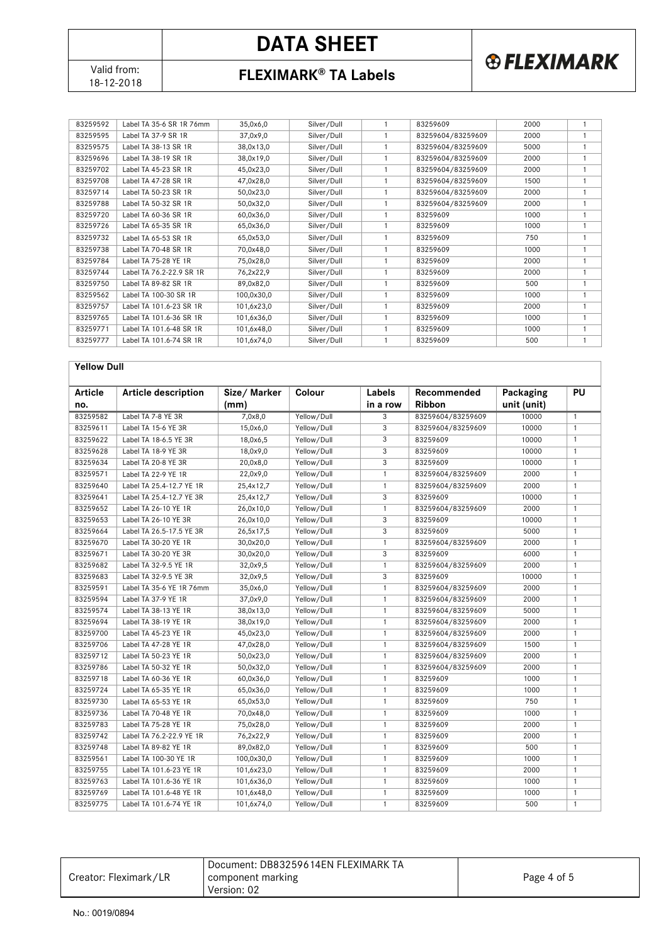Valid from:<br>18-12-2018

# **DATA SHEET**





**& FLEXIMARK** 

| 83259738 | Label TA 70-48 SR 1R     | 70,0x48,0  | Silver/Dull | 83259609 | 1000 |  |
|----------|--------------------------|------------|-------------|----------|------|--|
| 83259784 | Label TA 75-28 YE 1R     | 75,0x28,0  | Silver/Dull | 83259609 | 2000 |  |
| 83259744 | Label TA 76.2-22.9 SR 1R | 76.2x22.9  | Silver/Dull | 83259609 | 2000 |  |
| 83259750 | Label TA 89-82 SR 1R     | 89.0x82.0  | Silver/Dull | 83259609 | 500  |  |
| 83259562 | Label TA 100-30 SR 1R    | 100,0x30,0 | Silver/Dull | 83259609 | 1000 |  |
| 83259757 | Label TA 101.6-23 SR 1R  | 101,6x23,0 | Silver/Dull | 83259609 | 2000 |  |
| 83259765 | Label TA 101.6-36 SR 1R  | 101,6x36,0 | Silver/Dull | 83259609 | 1000 |  |
| 83259771 | Label TA 101.6-48 SR 1R  | 101,6x48,0 | Silver/Dull | 83259609 | 1000 |  |
| 83259777 | Label TA 101.6-74 SR 1R  | 101,6x74,0 | Silver/Dull | 83259609 | 500  |  |

#### **Yellow Dull**

| <b>Article</b> | <b>Article description</b> | Size/ Marker | Colour      | Labels       | Recommended       | Packaging   | PU             |
|----------------|----------------------------|--------------|-------------|--------------|-------------------|-------------|----------------|
| no.            |                            | (mm)         |             | in a row     | <b>Ribbon</b>     | unit (unit) |                |
| 83259582       | Label TA 7-8 YE 3R         | 7,0x8,0      | Yellow/Dull | 3            | 83259604/83259609 | 10000       | $\mathbf{1}$   |
| 83259611       | Label TA 15-6 YE 3R        | 15,0x6,0     | Yellow/Dull | 3            | 83259604/83259609 | 10000       | $\mathbf{1}$   |
| 83259622       | Label TA 18-6.5 YE 3R      | 18,0x6,5     | Yellow/Dull | 3            | 83259609          | 10000       | $\mathbf{1}$   |
| 83259628       | Label TA 18-9 YE 3R        | 18,0x9,0     | Yellow/Dull | 3            | 83259609          | 10000       | $\mathbf{1}$   |
| 83259634       | Label TA 20-8 YE 3R        | 20,0x8,0     | Yellow/Dull | 3            | 83259609          | 10000       | $\mathbf{1}$   |
| 83259571       | Label TA 22-9 YE 1R        | 22,0x9,0     | Yellow/Dull | $\mathbf{1}$ | 83259604/83259609 | 2000        | $\mathbf{1}$   |
| 83259640       | Label TA 25.4-12.7 YE 1R   | 25,4x12,7    | Yellow/Dull | $\mathbf{1}$ | 83259604/83259609 | 2000        | $\mathbf{1}$   |
| 83259641       | Label TA 25.4-12.7 YE 3R   | 25,4x12,7    | Yellow/Dull | 3            | 83259609          | 10000       | $\mathbf{1}$   |
| 83259652       | Label TA 26-10 YE 1R       | 26,0x10,0    | Yellow/Dull | $\mathbf{1}$ | 83259604/83259609 | 2000        | $\mathbf{1}$   |
| 83259653       | Label TA 26-10 YE 3R       | 26,0x10,0    | Yellow/Dull | 3            | 83259609          | 10000       | $\mathbf{1}$   |
| 83259664       | Label TA 26.5-17.5 YE 3R   | 26,5x17,5    | Yellow/Dull | 3            | 83259609          | 5000        | $\mathbf{1}$   |
| 83259670       | Label TA 30-20 YE 1R       | 30,0x20,0    | Yellow/Dull | $\mathbf{1}$ | 83259604/83259609 | 2000        | $\overline{1}$ |
| 83259671       | Label TA 30-20 YE 3R       | 30,0x20,0    | Yellow/Dull | 3            | 83259609          | 6000        | $\overline{1}$ |
| 83259682       | Label TA 32-9.5 YE 1R      | 32,0x9,5     | Yellow/Dull | $\mathbf{1}$ | 83259604/83259609 | 2000        | $\mathbf{1}$   |
| 83259683       | Label TA 32-9.5 YE 3R      | 32,0x9,5     | Yellow/Dull | 3            | 83259609          | 10000       | $\overline{1}$ |
| 83259591       | Label TA 35-6 YE 1R 76mm   | 35,0x6,0     | Yellow/Dull | $\mathbf{1}$ | 83259604/83259609 | 2000        | $\overline{1}$ |
| 83259594       | Label TA 37-9 YE 1R        | 37,0x9,0     | Yellow/Dull | $\mathbf{1}$ | 83259604/83259609 | 2000        | $\mathbf{1}$   |
| 83259574       | Label TA 38-13 YE 1R       | 38,0x13,0    | Yellow/Dull | $\mathbf{1}$ | 83259604/83259609 | 5000        | $\mathbf{1}$   |
| 83259694       | Label TA 38-19 YE 1R       | 38,0x19,0    | Yellow/Dull | $\mathbf{1}$ | 83259604/83259609 | 2000        | $\mathbf{1}$   |
| 83259700       | Label TA 45-23 YE 1R       | 45,0x23,0    | Yellow/Dull | $\mathbf{1}$ | 83259604/83259609 | 2000        | $\mathbf{1}$   |
| 83259706       | Label TA 47-28 YE 1R       | 47,0x28,0    | Yellow/Dull | $\mathbf{1}$ | 83259604/83259609 | 1500        | $\mathbf{1}$   |
| 83259712       | Label TA 50-23 YE 1R       | 50,0x23,0    | Yellow/Dull | $\mathbf{1}$ | 83259604/83259609 | 2000        | $\mathbf{1}$   |
| 83259786       | Label TA 50-32 YE 1R       | 50,0x32,0    | Yellow/Dull | $\mathbf{1}$ | 83259604/83259609 | 2000        | $\mathbf{1}$   |
| 83259718       | Label TA 60-36 YE 1R       | 60,0x36,0    | Yellow/Dull | $\mathbf{1}$ | 83259609          | 1000        | $\mathbf{1}$   |
| 83259724       | Label TA 65-35 YE 1R       | 65,0x36,0    | Yellow/Dull | $\mathbf{1}$ | 83259609          | 1000        | $\mathbf{1}$   |
| 83259730       | Label TA 65-53 YE 1R       | 65,0x53,0    | Yellow/Dull | $\mathbf{1}$ | 83259609          | 750         | $\mathbf{1}$   |
| 83259736       | Label TA 70-48 YE 1R       | 70,0x48,0    | Yellow/Dull | $\mathbf{1}$ | 83259609          | 1000        | $\mathbf{1}$   |
| 83259783       | Label TA 75-28 YE 1R       | 75,0x28,0    | Yellow/Dull | $\mathbf{1}$ | 83259609          | 2000        | $\mathbf{1}$   |
| 83259742       | Label TA 76.2-22.9 YE 1R   | 76,2x22,9    | Yellow/Dull | $\mathbf{1}$ | 83259609          | 2000        | $\mathbf{1}$   |
| 83259748       | Label TA 89-82 YE 1R       | 89,0x82,0    | Yellow/Dull | $\mathbf{1}$ | 83259609          | 500         | $\mathbf{1}$   |
| 83259561       | Label TA 100-30 YE 1R      | 100,0x30,0   | Yellow/Dull | $\mathbf{1}$ | 83259609          | 1000        | $\mathbf{1}$   |
| 83259755       | Label TA 101.6-23 YE 1R    | 101,6x23,0   | Yellow/Dull | $\mathbf{1}$ | 83259609          | 2000        | $\mathbf{1}$   |
| 83259763       | Label TA 101.6-36 YE 1R    | 101,6x36,0   | Yellow/Dull | $\mathbf{1}$ | 83259609          | 1000        | $\mathbf{1}$   |
| 83259769       | Label TA 101.6-48 YE 1R    | 101,6x48,0   | Yellow/Dull | $\mathbf{1}$ | 83259609          | 1000        | $\mathbf{1}$   |
| 83259775       | Label TA 101.6-74 YE 1R    | 101,6x74,0   | Yellow/Dull | $\mathbf{1}$ | 83259609          | 500         | $\mathbf{1}$   |

| Creator: Fleximark/LR | Document: DB83259614EN FLEXIMARK TA<br>component marking<br>Version: 02 | Page 4 of 5 |
|-----------------------|-------------------------------------------------------------------------|-------------|
|-----------------------|-------------------------------------------------------------------------|-------------|